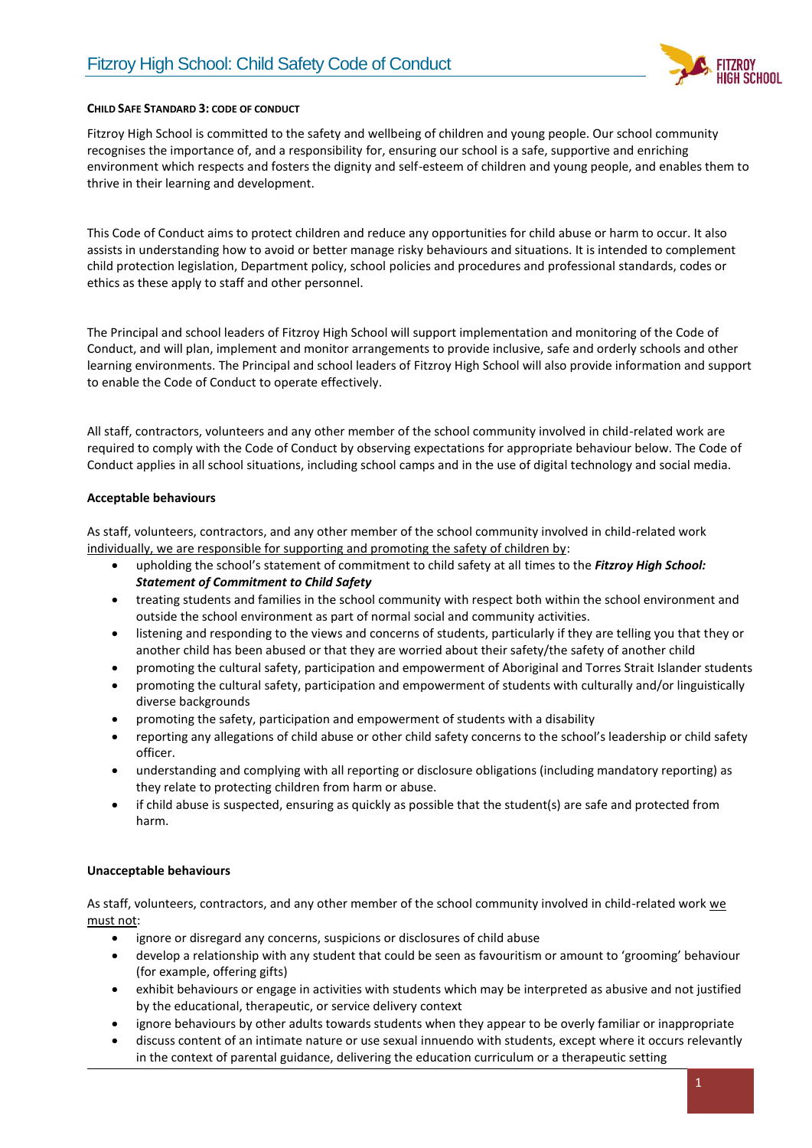

## **CHILD SAFE STANDARD 3: CODE OF CONDUCT**

Fitzroy High School is committed to the safety and wellbeing of children and young people. Our school community recognises the importance of, and a responsibility for, ensuring our school is a safe, supportive and enriching environment which respects and fosters the dignity and self-esteem of children and young people, and enables them to thrive in their learning and development.

This Code of Conduct aims to protect children and reduce any opportunities for child abuse or harm to occur. It also assists in understanding how to avoid or better manage risky behaviours and situations. It is intended to complement child protection legislation, Department policy, school policies and procedures and professional standards, codes or ethics as these apply to staff and other personnel.

The Principal and school leaders of Fitzroy High School will support implementation and monitoring of the Code of Conduct, and will plan, implement and monitor arrangements to provide inclusive, safe and orderly schools and other learning environments. The Principal and school leaders of Fitzroy High School will also provide information and support to enable the Code of Conduct to operate effectively.

All staff, contractors, volunteers and any other member of the school community involved in child-related work are required to comply with the Code of Conduct by observing expectations for appropriate behaviour below. The Code of Conduct applies in all school situations, including school camps and in the use of digital technology and social media.

## **Acceptable behaviours**

As staff, volunteers, contractors, and any other member of the school community involved in child-related work individually, we are responsible for supporting and promoting the safety of children by:

- upholding the school's statement of commitment to child safety at all times to the *Fitzroy High School: Statement of Commitment to Child Safety*
- treating students and families in the school community with respect both within the school environment and outside the school environment as part of normal social and community activities.
- listening and responding to the views and concerns of students, particularly if they are telling you that they or another child has been abused or that they are worried about their safety/the safety of another child
- promoting the cultural safety, participation and empowerment of Aboriginal and Torres Strait Islander students
- promoting the cultural safety, participation and empowerment of students with culturally and/or linguistically diverse backgrounds
- promoting the safety, participation and empowerment of students with a disability
- reporting any allegations of child abuse or other child safety concerns to the school's leadership or child safety officer.
- understanding and complying with all reporting or disclosure obligations (including mandatory reporting) as they relate to protecting children from harm or abuse.
- if child abuse is suspected, ensuring as quickly as possible that the student(s) are safe and protected from harm.

## **Unacceptable behaviours**

As staff, volunteers, contractors, and any other member of the school community involved in child-related work we must not:

- ignore or disregard any concerns, suspicions or disclosures of child abuse
- develop a relationship with any student that could be seen as favouritism or amount to 'grooming' behaviour (for example, offering gifts)
- exhibit behaviours or engage in activities with students which may be interpreted as abusive and not justified by the educational, therapeutic, or service delivery context
- ignore behaviours by other adults towards students when they appear to be overly familiar or inappropriate
- discuss content of an intimate nature or use sexual innuendo with students, except where it occurs relevantly in the context of parental guidance, delivering the education curriculum or a therapeutic setting